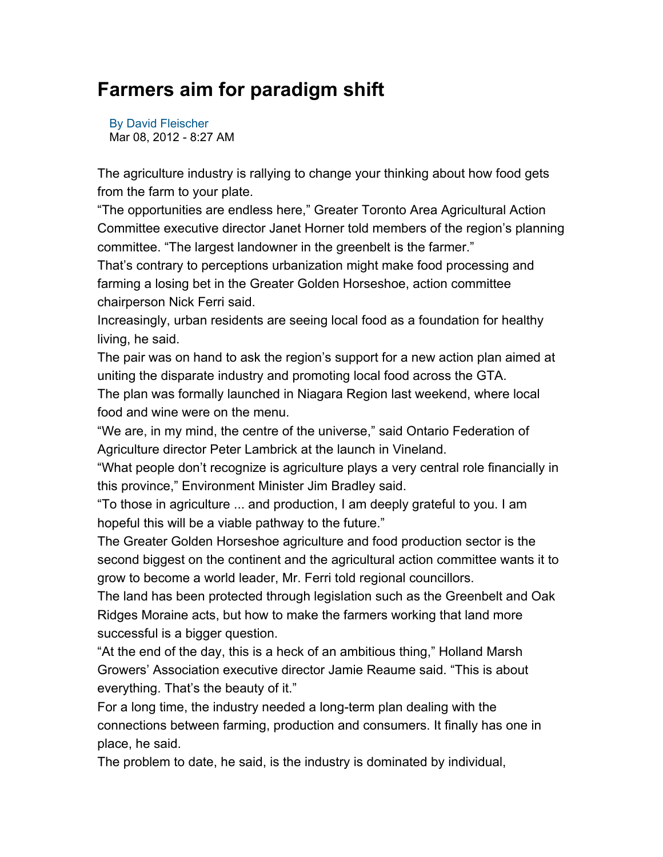## **Farmers aim for paradigm shift**

By David Fleischer Mar 08, 2012 - 8:27 AM

The agriculture industry is rallying to change your thinking about how food gets from the farm to your plate.

"The opportunities are endless here," Greater Toronto Area Agricultural Action Committee executive director Janet Horner told members of the region's planning committee. "The largest landowner in the greenbelt is the farmer."

That's contrary to perceptions urbanization might make food processing and farming a losing bet in the Greater Golden Horseshoe, action committee chairperson Nick Ferri said.

Increasingly, urban residents are seeing local food as a foundation for healthy living, he said.

The pair was on hand to ask the region's support for a new action plan aimed at uniting the disparate industry and promoting local food across the GTA.

The plan was formally launched in Niagara Region last weekend, where local food and wine were on the menu.

"We are, in my mind, the centre of the universe," said Ontario Federation of Agriculture director Peter Lambrick at the launch in Vineland.

"What people don't recognize is agriculture plays a very central role financially in this province," Environment Minister Jim Bradley said.

"To those in agriculture ... and production, I am deeply grateful to you. I am hopeful this will be a viable pathway to the future."

The Greater Golden Horseshoe agriculture and food production sector is the second biggest on the continent and the agricultural action committee wants it to grow to become a world leader, Mr. Ferri told regional councillors.

The land has been protected through legislation such as the Greenbelt and Oak Ridges Moraine acts, but how to make the farmers working that land more successful is a bigger question.

"At the end of the day, this is a heck of an ambitious thing," Holland Marsh Growers' Association executive director Jamie Reaume said. "This is about everything. That's the beauty of it."

For a long time, the industry needed a long-term plan dealing with the connections between farming, production and consumers. It finally has one in place, he said.

The problem to date, he said, is the industry is dominated by individual,